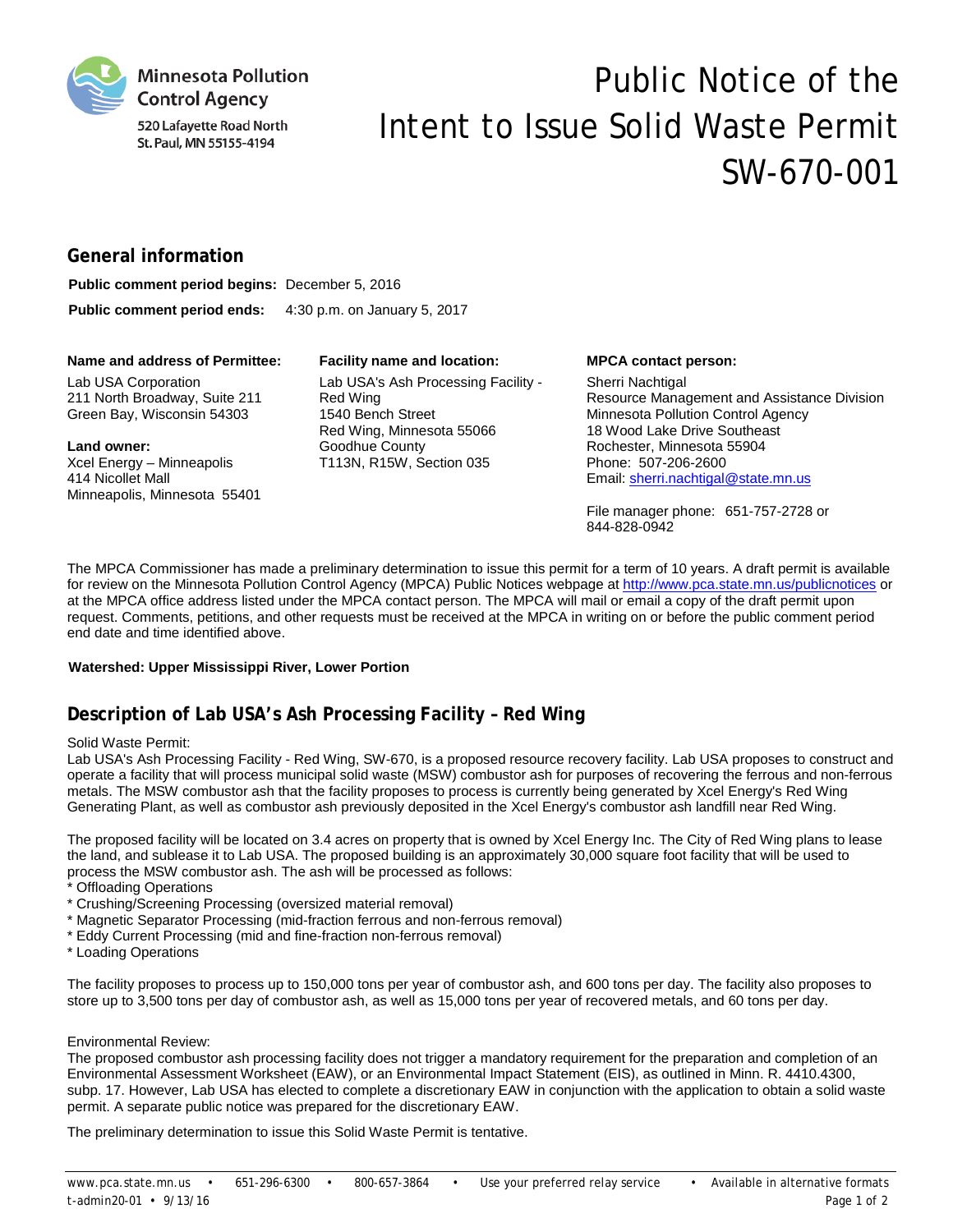

520 Lafayette Road North St. Paul, MN 55155-4194

# Public Notice of the Intent to Issue Solid Waste Permit SW-670-001

# **General information**

| <b>Public comment period begins:</b> December 5, 2016 |                              |
|-------------------------------------------------------|------------------------------|
| Public comment period ends:                           | 4:30 p.m. on January 5, 2017 |

#### **Name and address of Permittee: Facility name and location: MPCA contact person:**

Lab USA Corporation 211 North Broadway, Suite 211 Green Bay, Wisconsin 54303

#### **Land owner:**

Xcel Energy – Minneapolis 414 Nicollet Mall Minneapolis, Minnesota 55401

Lab USA's Ash Processing Facility - Red Wing 1540 Bench Street Red Wing, Minnesota 55066 Goodhue County T113N, R15W, Section 035

Sherri Nachtigal Resource Management and Assistance Division Minnesota Pollution Control Agency 18 Wood Lake Drive Southeast Rochester, Minnesota 55904 Phone: 507-206-2600 Email: sherri.nachtigal@state.mn.us

File manager phone: 651-757-2728 or 844-828-0942

The MPCA Commissioner has made a preliminary determination to issue this permit for a term of 10 years. A draft permit is available for review on the Minnesota Pollution Control Agency (MPCA) Public Notices webpage a[t http://www.pca.state.mn.us/publicnotices](http://www.pca.state.mn.us/publicnotices) or at the MPCA office address listed under the MPCA contact person. The MPCA will mail or email a copy of the draft permit upon request. Comments, petitions, and other requests must be received at the MPCA in writing on or before the public comment period end date and time identified above.

### **Watershed: Upper Mississippi River, Lower Portion**

# **Description of Lab USA's Ash Processing Facility – Red Wing**

### Solid Waste Permit:

Lab USA's Ash Processing Facility - Red Wing, SW-670, is a proposed resource recovery facility. Lab USA proposes to construct and operate a facility that will process municipal solid waste (MSW) combustor ash for purposes of recovering the ferrous and non-ferrous metals. The MSW combustor ash that the facility proposes to process is currently being generated by Xcel Energy's Red Wing Generating Plant, as well as combustor ash previously deposited in the Xcel Energy's combustor ash landfill near Red Wing.

The proposed facility will be located on 3.4 acres on property that is owned by Xcel Energy Inc. The City of Red Wing plans to lease the land, and sublease it to Lab USA. The proposed building is an approximately 30,000 square foot facility that will be used to process the MSW combustor ash. The ash will be processed as follows:

- \* Offloading Operations
- \* Crushing/Screening Processing (oversized material removal)
- \* Magnetic Separator Processing (mid-fraction ferrous and non-ferrous removal)
- \* Eddy Current Processing (mid and fine-fraction non-ferrous removal)
- \* Loading Operations

The facility proposes to process up to 150,000 tons per year of combustor ash, and 600 tons per day. The facility also proposes to store up to 3,500 tons per day of combustor ash, as well as 15,000 tons per year of recovered metals, and 60 tons per day.

#### Environmental Review:

The proposed combustor ash processing facility does not trigger a mandatory requirement for the preparation and completion of an Environmental Assessment Worksheet (EAW), or an Environmental Impact Statement (EIS), as outlined in Minn. R. 4410.4300, subp. 17. However, Lab USA has elected to complete a discretionary EAW in conjunction with the application to obtain a solid waste permit. A separate public notice was prepared for the discretionary EAW.

The preliminary determination to issue this Solid Waste Permit is tentative.